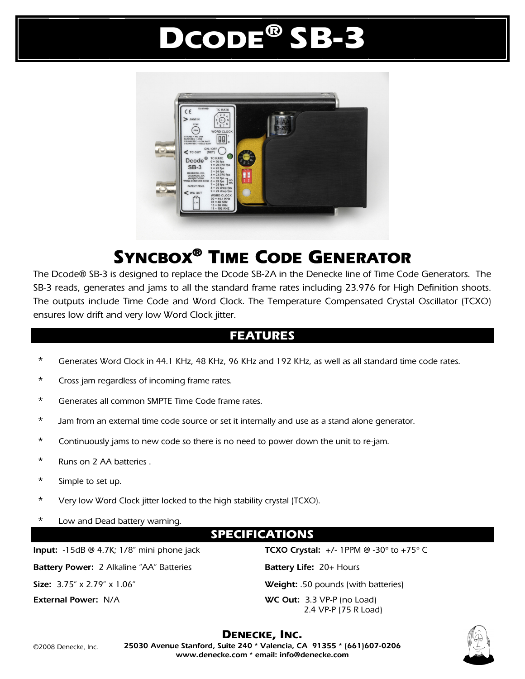# DCODE® SB-3



## SYNCBOX® TIME CODE GENERATOR

The Dcode® SB-3 is designed to replace the Dcode SB-2A in the Denecke line of Time Code Generators. The SB-3 reads, generates and jams to all the standard frame rates including 23.976 for High Definition shoots. The outputs include Time Code and Word Clock. The Temperature Compensated Crystal Oscillator (TCXO) ensures low drift and very low Word Clock jitter.

#### FEATURES

- Generates Word Clock in 44.1 KHz, 48 KHz, 96 KHz and 192 KHz, as well as all standard time code rates.
- \* Cross jam regardless of incoming frame rates.
- \* Generates all common SMPTE Time Code frame rates.
- \* Jam from an external time code source or set it internally and use as a stand alone generator.
- \* Continuously jams to new code so there is no need to power down the unit to re-jam.
- \* Runs on 2 AA batteries .
- \* Simple to set up.
- \* Very low Word Clock jitter locked to the high stability crystal (TCXO).
- \* Low and Dead battery warning.

### SPECIFICATIONS

**Input:** -15dB @ 4.7K; 1/8" mini phone jack **TCXO Crystal:** +/- 1PPM @ -30º to +75º C

**Battery Power:** 2 Alkaline "AA" Batteries **Battery Life:** 20+ Hours

**Size:** 3.75" x 2.79" x 1.06" **Weight:** .50 pounds (with batteries) **External Power:** N/A **WC Out:** 3.3 VP-P (no Load) 2.4 VP-P (75 R Load)



DENECKE, INC. **25030 Avenue Stanford, Suite 240 \* Valencia, CA 91355 \* (661)607-0206 www.denecke.com \* email: info@denecke.com**